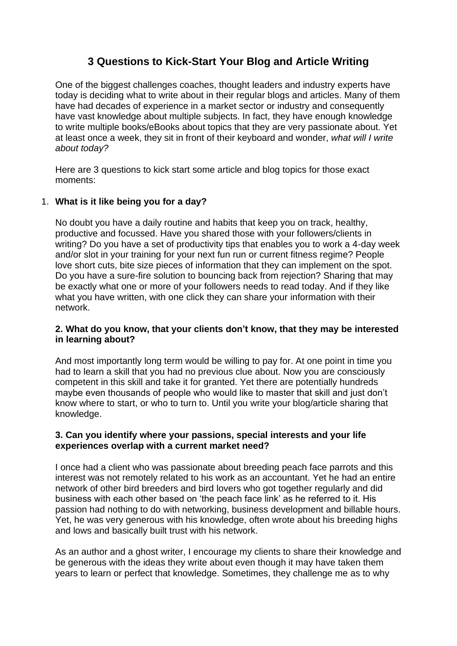## **3 Questions to Kick-Start Your Blog and Article Writing**

One of the biggest challenges coaches, thought leaders and industry experts have today is deciding what to write about in their regular blogs and articles. Many of them have had decades of experience in a market sector or industry and consequently have vast knowledge about multiple subjects. In fact, they have enough knowledge to write multiple books/eBooks about topics that they are very passionate about. Yet at least once a week, they sit in front of their keyboard and wonder, *what will I write about today?*

Here are 3 questions to kick start some article and blog topics for those exact moments:

## 1. **What is it like being you for a day?**

No doubt you have a daily routine and habits that keep you on track, healthy, productive and focussed. Have you shared those with your followers/clients in writing? Do you have a set of productivity tips that enables you to work a 4-day week and/or slot in your training for your next fun run or current fitness regime? People love short cuts, bite size pieces of information that they can implement on the spot. Do you have a sure-fire solution to bouncing back from rejection? Sharing that may be exactly what one or more of your followers needs to read today. And if they like what you have written, with one click they can share your information with their network.

## **2. What do you know, that your clients don't know, that they may be interested in learning about?**

And most importantly long term would be willing to pay for. At one point in time you had to learn a skill that you had no previous clue about. Now you are consciously competent in this skill and take it for granted. Yet there are potentially hundreds maybe even thousands of people who would like to master that skill and just don't know where to start, or who to turn to. Until you write your blog/article sharing that knowledge.

## **3. Can you identify where your passions, special interests and your life experiences overlap with a current market need?**

I once had a client who was passionate about breeding peach face parrots and this interest was not remotely related to his work as an accountant. Yet he had an entire network of other bird breeders and bird lovers who got together regularly and did business with each other based on 'the peach face link' as he referred to it. His passion had nothing to do with networking, business development and billable hours. Yet, he was very generous with his knowledge, often wrote about his breeding highs and lows and basically built trust with his network.

As an author and a ghost writer, I encourage my clients to share their knowledge and be generous with the ideas they write about even though it may have taken them years to learn or perfect that knowledge. Sometimes, they challenge me as to why